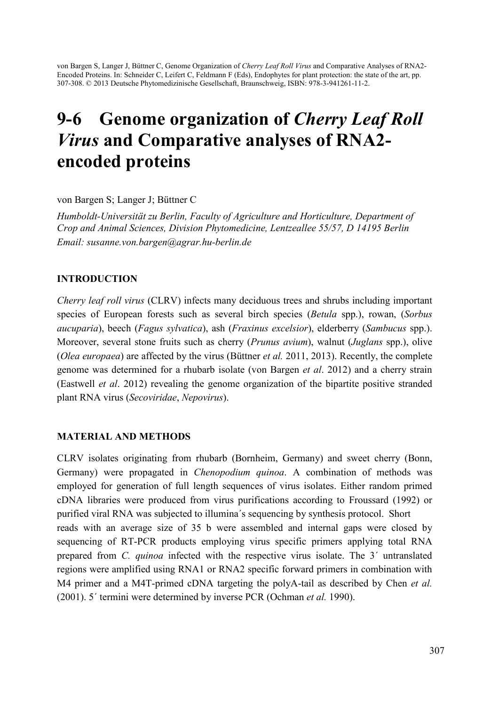von Bargen S, Langer J, Büttner C, Genome Organization of *Cherry Leaf Roll Virus* and Comparative Analyses of RNA2- Encoded Proteins. In: Schneider C, Leifert C, Feldmann F (Eds), Endophytes for plant protection: the state of the art, pp. 307-308. © 2013 Deutsche Phytomedizinische Gesellschaft, Braunschweig, ISBN: 978-3-941261-11-2.

# 9-6 Genome organization of *Cherry Leaf Roll Virus* and Comparative analyses of RNA2 encoded proteins

von Bargen S; Langer J; Büttner C

*Humboldt-Universität zu Berlin, Faculty of Agriculture and Horticulture, Department of Crop and Animal Sciences, Division Phytomedicine, Lentzeallee 55/57, D 14195 Berlin Email: susanne.von.bargen@agrar.hu-berlin.de* 

### INTRODUCTION

*Cherry leaf roll virus* (CLRV) infects many deciduous trees and shrubs including important species of European forests such as several birch species (*Betula* spp.), rowan, (*Sorbus aucuparia*), beech (*Fagus sylvatica*), ash (*Fraxinus excelsior*), elderberry (*Sambucus* spp.). Moreover, several stone fruits such as cherry (*Prunus avium*), walnut (*Juglans* spp.), olive (*Olea europaea*) are affected by the virus (Büttner *et al.* 2011, 2013). Recently, the complete genome was determined for a rhubarb isolate (von Bargen *et al*. 2012) and a cherry strain (Eastwell *et al*. 2012) revealing the genome organization of the bipartite positive stranded plant RNA virus (*Secoviridae*, *Nepovirus*).

## MATERIAL AND METHODS

CLRV isolates originating from rhubarb (Bornheim, Germany) and sweet cherry (Bonn, Germany) were propagated in *Chenopodium quinoa*. A combination of methods was employed for generation of full length sequences of virus isolates. Either random primed cDNA libraries were produced from virus purifications according to Froussard (1992) or purified viral RNA was subjected to illumina´s sequencing by synthesis protocol. Short reads with an average size of 35 b were assembled and internal gaps were closed by sequencing of RT-PCR products employing virus specific primers applying total RNA prepared from *C. quinoa* infected with the respective virus isolate. The 3´ untranslated regions were amplified using RNA1 or RNA2 specific forward primers in combination with M4 primer and a M4T-primed cDNA targeting the polyA-tail as described by Chen *et al.* (2001). 5´ termini were determined by inverse PCR (Ochman *et al.* 1990).